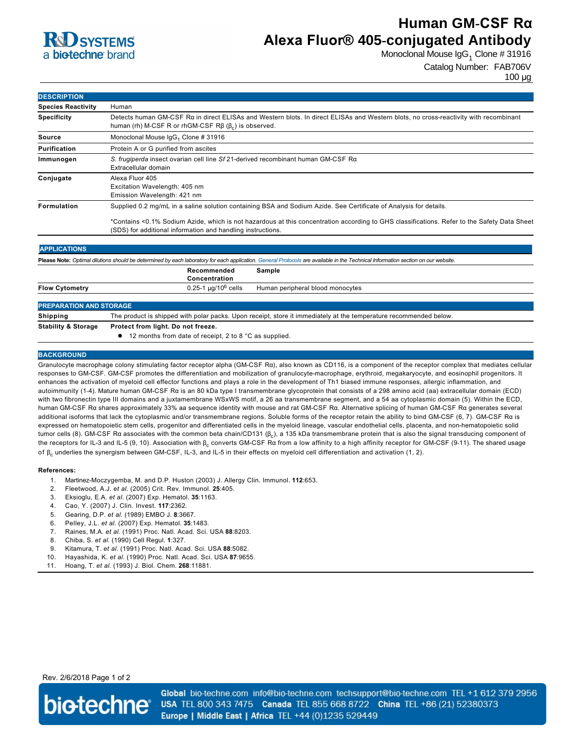

# **Human GM-CSF Rα Alexa Fluor® 405-conjugated Antibody**

Monoclonal Mouse IgG $_1$  Clone # 31916

Catalog Number: FAB706V

| <b>DESCRIPTION</b>        |                                                                                                                                                                                                            |  |  |
|---------------------------|------------------------------------------------------------------------------------------------------------------------------------------------------------------------------------------------------------|--|--|
| <b>Species Reactivity</b> | Human                                                                                                                                                                                                      |  |  |
| <b>Specificity</b>        | Detects human GM-CSF Ra in direct ELISAs and Western blots. In direct ELISAs and Western blots, no cross-reactivity with recombinant<br>human (rh) M-CSF R or rhGM-CSF $R\beta$ ( $\beta_c$ ) is observed. |  |  |
| <b>Source</b>             | Monoclonal Mouse IgG <sub>1</sub> Clone # 31916                                                                                                                                                            |  |  |
| <b>Purification</b>       | Protein A or G purified from ascites                                                                                                                                                                       |  |  |
| Immunogen                 | S. frugiperda insect ovarian cell line Sf 21-derived recombinant human GM-CSF R $\alpha$<br>Extracellular domain                                                                                           |  |  |
| Conjugate                 | Alexa Fluor 405<br>Excitation Wavelength: 405 nm<br>Emission Wavelength: 421 nm                                                                                                                            |  |  |
| Formulation               | Supplied 0.2 mg/mL in a saline solution containing BSA and Sodium Azide. See Certificate of Analysis for details.                                                                                          |  |  |
|                           | *Contains <0.1% Sodium Azide, which is not hazardous at this concentration according to GHS classifications. Refer to the Safety Data Sheet                                                                |  |  |

(SDS) for additional information and handling instructions. **APPLICATIONS Please Note:** *Optimal dilutions should be determined by each laboratory for each application. [General Protocols](http://www.rndsystems.com/resources/protocols-troubleshooting-guides) are available in the Technical Information section on our website.* **Recommended Sample**

| $A + B + B + C + C$ $A + C + C + C$ | Bookeet form Hold Belgi forces                                                                                    |                                  |
|-------------------------------------|-------------------------------------------------------------------------------------------------------------------|----------------------------------|
| Shipping                            | The product is shipped with polar packs. Upon receipt, store it immediately at the temperature recommended below. |                                  |
| <b>PREPARATION AND STORAGE</b>      |                                                                                                                   |                                  |
|                                     |                                                                                                                   |                                  |
| <b>Flow Cytometry</b>               | 0.25-1 µg/10 <sup>6</sup> cells                                                                                   | Human peripheral blood monocytes |
|                                     | Concentration                                                                                                     |                                  |
|                                     |                                                                                                                   |                                  |

**Stability & Storage Protect from light. Do not freeze.**

● 12 months from date of receipt, 2 to 8 °C as supplied.

### **BACKGROUND**

Granulocyte macrophage colony stimulating factor receptor alpha (GMCSF Rα), also known as CD116, is a component of the receptor complex that mediates cellular responses to GM-CSF. GM-CSF promotes the differentiation and mobilization of granulocyte-macrophage, erythroid, megakaryocyte, and eosinophil progenitors. It enhances the activation of myeloid cell effector functions and plays a role in the development of Th1 biased immune responses, allergic inflammation, and autoimmunity (14). Mature human GMCSF Rα is an 80 kDa type I transmembrane glycoprotein that consists of a 298 amino acid (aa) extracellular domain (ECD) with two fibronectin type III domains and a juxtamembrane WSxWS motif, a 26 aa transmembrane segment, and a 54 aa cytoplasmic domain (5). Within the ECD, human GMCSF Rα shares approximately 33% aa sequence identity with mouse and rat GMCSF Rα. Alternative splicing of human GMCSF Rα generates several additional isoforms that lack the cytoplasmic and/or transmembrane regions. Soluble forms of the receptor retain the ability to bind GMCSF (6, 7). GMCSF Rα is expressed on hematopoietic stem cells, progenitor and differentiated cells in the myeloid lineage, vascular endothelial cells, placenta, and nonhematopoietic solid tumor cells (8). GM-CSF Rα associates with the common beta chain/CD131 (β<sub>c</sub>), a 135 kDa transmembrane protein that is also the signal transducing component of the receptors for IL-3 and IL-5 (9, 10). Association with β<sub>c</sub> converts GM-CSF Rα from a low affinity to a high affinity receptor for GM-CSF (9-11). The shared usage of β<sub>c</sub> underlies the synergism between GM-CSF, IL-3, and IL-5 in their effects on myeloid cell differentiation and activation (1, 2).

#### **References:**

- 1. Martinez-Moczygemba, M. and D.P. Huston (2003) J. Allergy Clin. Immunol. **112**:653.
- 2. Fleetwood, A.J. *et al.* (2005) Crit. Rev. Immunol. **25**:405.
- 3. Eksioglu, E.A. *et al.* (2007) Exp. Hematol. **35**:1163.
- 4. Cao, Y. (2007) J. Clin. Invest. **117**:2362.
- 5. Gearing, D.P. *et al.* (1989) EMBO J. **8**:3667.
- 6. Pelley, J.L. *et al.* (2007) Exp. Hematol. **35**:1483.
- 7. Raines, M.A. *et al.* (1991) Proc. Natl. Acad. Sci. USA **88**:8203.
- 8. Chiba, S. *et al.* (1990) Cell Regul. **1**:327.
- 9. Kitamura, T. *et al.* (1991) Proc. Natl. Acad. Sci. USA **88**:5082.
- 10. Hayashida, K. *et al.* (1990) Proc. Natl. Acad. Sci. USA **87**:9655.
- 11. Hoang, T. *et al.* (1993) J. Biol. Chem. **268**:11881.

## Rev. 2/6/2018 Page 1 of 2